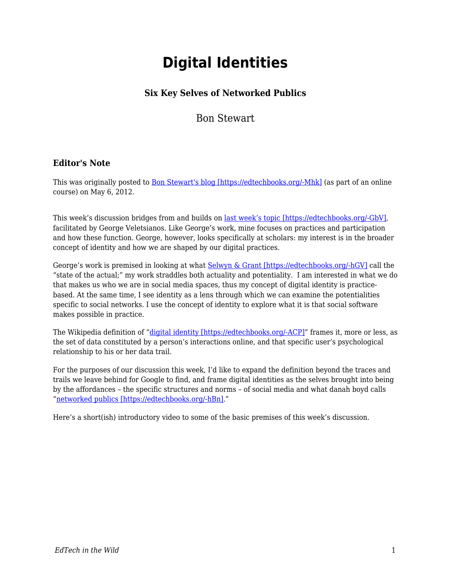# **Digital Identities**

# **Six Key Selves of Networked Publics**

Bon Stewart

#### **Editor's Note**

This was originally posted to [Bon Stewart's blog \[https://edtechbooks.org/-Mhk\]](http://theory.cribchronicles.com/2012/05/06/digital-identities-six-key-selves/) (as part of an online course) on May 6, 2012.

This week's discussion bridges from and builds on [last week's topic \[https://edtechbooks.org/-GbV\],](http://www.veletsianos.com/2012/04/30/scholars-online-participation-and-practices-my-change11/) facilitated by George Veletsianos. Like George's work, mine focuses on practices and participation and how these function. George, however, looks specifically at scholars: my interest is in the broader concept of identity and how we are shaped by our digital practices.

George's work is premised in looking at what [Selwyn & Grant \[https://edtechbooks.org/-hGV\]](http://bristol.academia.edu/LyndsayGrant/Papers/1489424/Researching_the_realities_of_social_software_use_an_introduction) call the "state of the actual;" my work straddles both actuality and potentiality. I am interested in what we do that makes us who we are in social media spaces, thus my concept of digital identity is practicebased. At the same time, I see identity as a lens through which we can examine the potentialities specific to social networks. I use the concept of identity to explore what it is that social software makes possible in practice.

The Wikipedia definition of ["digital identity \[https://edtechbooks.org/-ACP\]"](http://en.wikipedia.org/wiki/Digital_identity) frames it, more or less, as the set of data constituted by a person's interactions online, and that specific user's psychological relationship to his or her data trail.

For the purposes of our discussion this week, I'd like to expand the definition beyond the traces and trails we leave behind for Google to find, and frame digital identities as the selves brought into being by the affordances – the specific structures and norms – of social media and what danah boyd calls "[networked publics \[https://edtechbooks.org/-hBn\]](http://www.danah.org/papers/2010/SNSasNetworkedPublics.pdf)."

Here's a short(ish) introductory video to some of the basic premises of this week's discussion.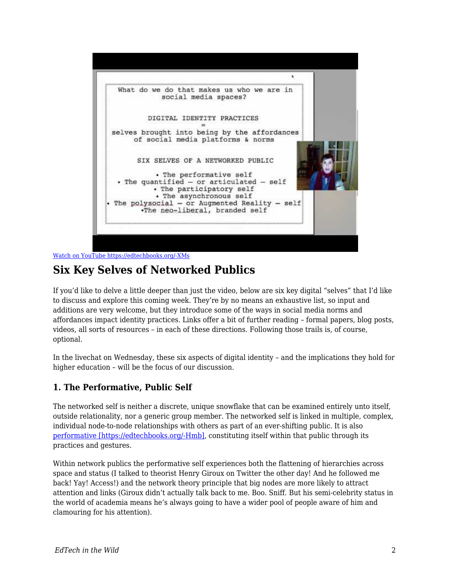

[Watch on YouTube https://edtechbooks.org/-XMs](https://www.youtube.com/embed/nrz8UyIHKW4?autoplay=1&rel=0&showinfo=0&modestbranding=1)

# **Six Key Selves of Networked Publics**

If you'd like to delve a little deeper than just the video, below are six key digital "selves" that I'd like to discuss and explore this coming week. They're by no means an exhaustive list, so input and additions are very welcome, but they introduce some of the ways in social media norms and affordances impact identity practices. Links offer a bit of further reading – formal papers, blog posts, videos, all sorts of resources – in each of these directions. Following those trails is, of course, optional.

In the livechat on Wednesday, these six aspects of digital identity – and the implications they hold for higher education – will be the focus of our discussion.

#### **1. The Performative, Public Self**

The networked self is neither a discrete, unique snowflake that can be examined entirely unto itself, outside relationality, nor a generic group member. The networked self is linked in multiple, complex, individual node-to-node relationships with others as part of an ever-shifting public. It is also [performative \[https://edtechbooks.org/-Hmb\],](http://www.marathonpacks.com/2010/02/performative-part-i/) constituting itself within that public through its practices and gestures.

Within network publics the performative self experiences both the flattening of hierarchies across space and status (I talked to theorist Henry Giroux on Twitter the other day! And he followed me back! Yay! Access!) and the network theory principle that big nodes are more likely to attract attention and links (Giroux didn't actually talk back to me. Boo. Sniff. But his semi-celebrity status in the world of academia means he's always going to have a wider pool of people aware of him and clamouring for his attention).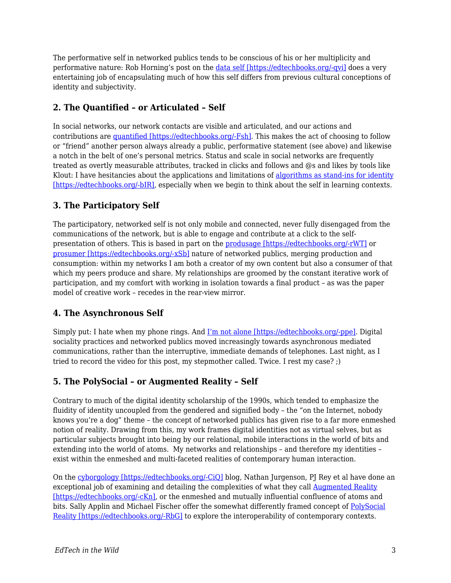The performative self in networked publics tends to be conscious of his or her multiplicity and performative nature: Rob Horning's post on the [data self \[https://edtechbooks.org/-qvi\]](http://thenewinquiry.com/blogs/marginal-utility/dumb-bullshit/) does a very entertaining job of encapsulating much of how this self differs from previous cultural conceptions of identity and subjectivity.

#### **2. The Quantified – or Articulated – Self**

In social networks, our network contacts are visible and articulated, and our actions and contributions are [quantified \[https://edtechbooks.org/-Fsh\]](http://hackeducation.com/2012/04/30/the-quantified-self-and-learning-analytics/). This makes the act of choosing to follow or "friend" another person always already a public, performative statement (see above) and likewise a notch in the belt of one's personal metrics. Status and scale in social networks are frequently treated as overtly measurable attributes, tracked in clicks and follows and @s and likes by tools like Klout: I have hesitancies about the applications and limitations of [algorithms as stand-ins for identity](http://www.salon.com/2011/11/13/klout_is_bad_for_your_soul/) [\[https://edtechbooks.org/-bIR\],](http://www.salon.com/2011/11/13/klout_is_bad_for_your_soul/) especially when we begin to think about the self in learning contexts.

#### **3. The Participatory Self**

The participatory, networked self is not only mobile and connected, never fully disengaged from the communications of the network, but is able to engage and contribute at a click to the selfpresentation of others. This is based in part on the [produsage \[https://edtechbooks.org/-rWT\]](http://produsage.org/files/Produsage%20(Creativity%20and%20Cognition%202007).pdf) or [prosumer \[https://edtechbooks.org/-xSb\]](http://joc.sagepub.com/content/10/1/13.short) nature of networked publics, merging production and consumption: within my networks I am both a creator of my own content but also a consumer of that which my peers produce and share. My relationships are groomed by the constant iterative work of participation, and my comfort with working in isolation towards a final product – as was the paper model of creative work – recedes in the rear-view mirror.

#### **4. The Asynchronous Self**

Simply put: I hate when my phone rings. And [I'm not alone \[https://edtechbooks.org/-ppe\].](http://www.dailymail.co.uk/femail/article-2103456/Call-crazy-I-HATE-phone.html) Digital sociality practices and networked publics moved increasingly towards asynchronous mediated communications, rather than the interruptive, immediate demands of telephones. Last night, as I tried to record the video for this post, my stepmother called. Twice. I rest my case? ;)

## **5. The PolySocial – or Augmented Reality – Self**

Contrary to much of the digital identity scholarship of the 1990s, which tended to emphasize the fluidity of identity uncoupled from the gendered and signified body – the "on the Internet, nobody knows you're a dog" theme – the concept of networked publics has given rise to a far more enmeshed notion of reality. Drawing from this, my work frames digital identities not as virtual selves, but as particular subjects brought into being by our relational, mobile interactions in the world of bits and extending into the world of atoms. My networks and relationships – and therefore my identities – exist within the enmeshed and multi-faceted realities of contemporary human interaction.

On the [cyborgology \[https://edtechbooks.org/-CiQ\]](http://thesocietypages.org/cyborgology/) blog, Nathan Jurgenson, PJ Rey et al have done an exceptional job of examining and detailing the complexities of what they call [Augmented Reality](http://thesocietypages.org/cyborgology/2011/04/29/defending-and-clarifying-the-term-augmented-reality/) [\[https://edtechbooks.org/-cKn\],](http://thesocietypages.org/cyborgology/2011/04/29/defending-and-clarifying-the-term-augmented-reality/) or the enmeshed and mutually influential confluence of atoms and bits. Sally Applin and Michael Fischer offer the somewhat differently framed concept of [PolySocial](http://www.dfki.de/LAMDa/accepted/ACulturalPerspective.pdf) [Reality \[https://edtechbooks.org/-RbG\]](http://www.dfki.de/LAMDa/accepted/ACulturalPerspective.pdf) to explore the interoperability of contemporary contexts.